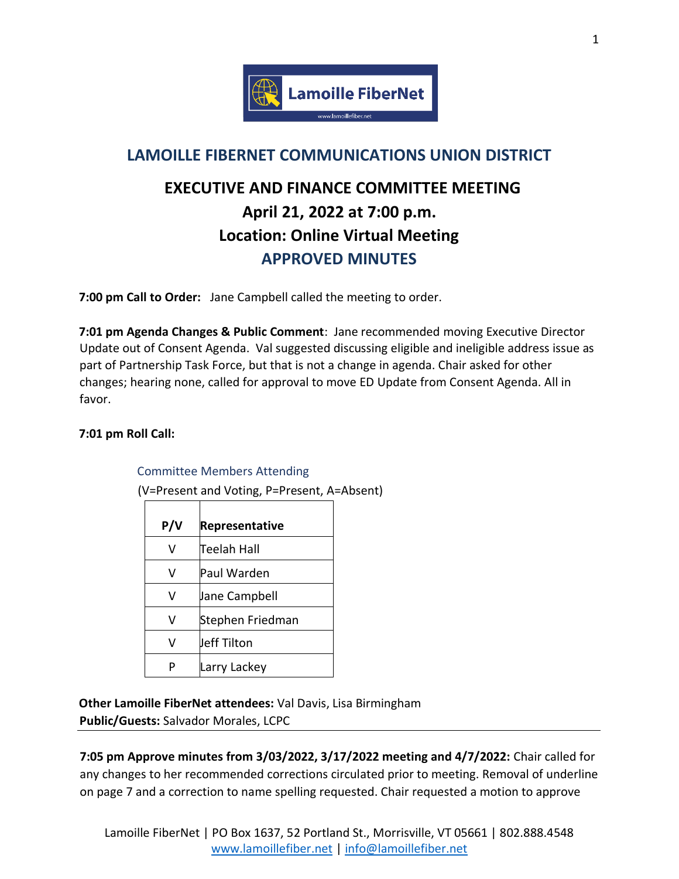

## **LAMOILLE FIBERNET COMMUNICATIONS UNION DISTRICT**

# **EXECUTIVE AND FINANCE COMMITTEE MEETING April 21, 2022 at 7:00 p.m. Location: Online Virtual Meeting APPROVED MINUTES**

**7:00 pm Call to Order:** Jane Campbell called the meeting to order.

**7:01 pm Agenda Changes & Public Comment**: Jane recommended moving Executive Director Update out of Consent Agenda. Val suggested discussing eligible and ineligible address issue as part of Partnership Task Force, but that is not a change in agenda. Chair asked for other changes; hearing none, called for approval to move ED Update from Consent Agenda. All in favor.

### **7:01 pm Roll Call:**

#### Committee Members Attending

(V=Present and Voting, P=Present, A=Absent)

| P/V | Representative   |
|-----|------------------|
| V   | Teelah Hall      |
| v   | Paul Warden      |
| v   | Jane Campbell    |
| V   | Stephen Friedman |
| v   | Jeff Tilton      |
|     | Larry Lackey     |

**Other Lamoille FiberNet attendees:** Val Davis, Lisa Birmingham **Public/Guests:** Salvador Morales, LCPC

**7:05 pm Approve minutes from 3/03/2022, 3/17/2022 meeting and 4/7/2022:** Chair called for any changes to her recommended corrections circulated prior to meeting. Removal of underline on page 7 and a correction to name spelling requested. Chair requested a motion to approve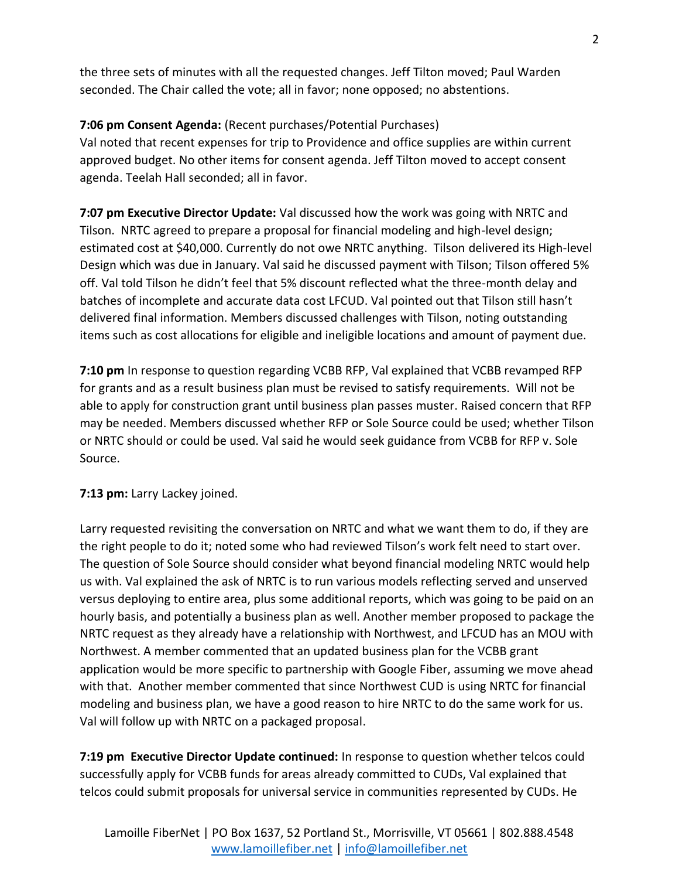the three sets of minutes with all the requested changes. Jeff Tilton moved; Paul Warden seconded. The Chair called the vote; all in favor; none opposed; no abstentions.

### **7:06 pm Consent Agenda:** (Recent purchases/Potential Purchases)

Val noted that recent expenses for trip to Providence and office supplies are within current approved budget. No other items for consent agenda. Jeff Tilton moved to accept consent agenda. Teelah Hall seconded; all in favor.

**7:07 pm Executive Director Update:** Val discussed how the work was going with NRTC and Tilson. NRTC agreed to prepare a proposal for financial modeling and high-level design; estimated cost at \$40,000. Currently do not owe NRTC anything. Tilson delivered its High-level Design which was due in January. Val said he discussed payment with Tilson; Tilson offered 5% off. Val told Tilson he didn't feel that 5% discount reflected what the three-month delay and batches of incomplete and accurate data cost LFCUD. Val pointed out that Tilson still hasn't delivered final information. Members discussed challenges with Tilson, noting outstanding items such as cost allocations for eligible and ineligible locations and amount of payment due.

**7:10 pm** In response to question regarding VCBB RFP, Val explained that VCBB revamped RFP for grants and as a result business plan must be revised to satisfy requirements. Will not be able to apply for construction grant until business plan passes muster. Raised concern that RFP may be needed. Members discussed whether RFP or Sole Source could be used; whether Tilson or NRTC should or could be used. Val said he would seek guidance from VCBB for RFP v. Sole Source.

### **7:13 pm:** Larry Lackey joined.

Larry requested revisiting the conversation on NRTC and what we want them to do, if they are the right people to do it; noted some who had reviewed Tilson's work felt need to start over. The question of Sole Source should consider what beyond financial modeling NRTC would help us with. Val explained the ask of NRTC is to run various models reflecting served and unserved versus deploying to entire area, plus some additional reports, which was going to be paid on an hourly basis, and potentially a business plan as well. Another member proposed to package the NRTC request as they already have a relationship with Northwest, and LFCUD has an MOU with Northwest. A member commented that an updated business plan for the VCBB grant application would be more specific to partnership with Google Fiber, assuming we move ahead with that. Another member commented that since Northwest CUD is using NRTC for financial modeling and business plan, we have a good reason to hire NRTC to do the same work for us. Val will follow up with NRTC on a packaged proposal.

**7:19 pm Executive Director Update continued:** In response to question whether telcos could successfully apply for VCBB funds for areas already committed to CUDs, Val explained that telcos could submit proposals for universal service in communities represented by CUDs. He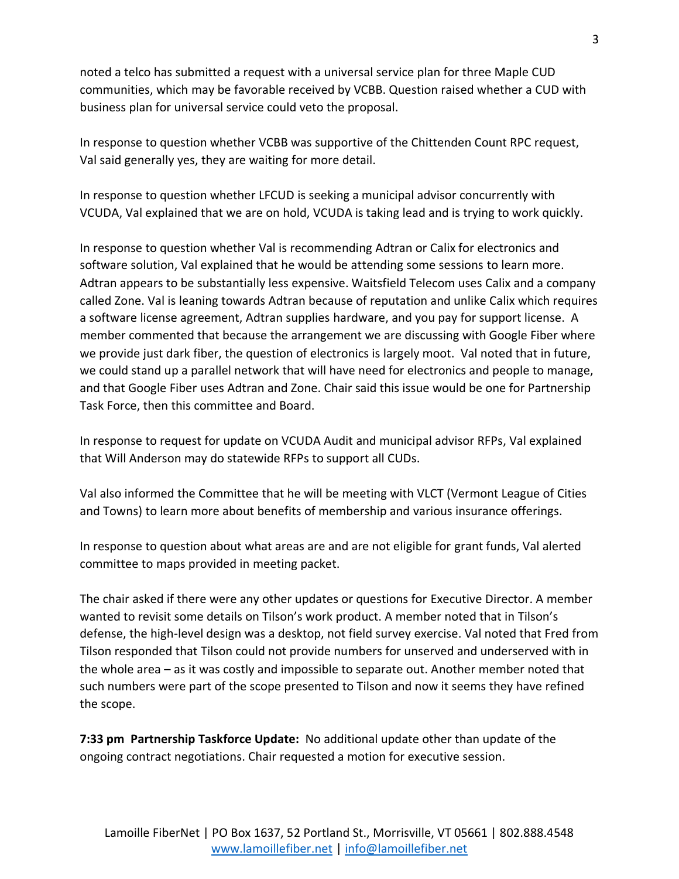noted a telco has submitted a request with a universal service plan for three Maple CUD communities, which may be favorable received by VCBB. Question raised whether a CUD with business plan for universal service could veto the proposal.

In response to question whether VCBB was supportive of the Chittenden Count RPC request, Val said generally yes, they are waiting for more detail.

In response to question whether LFCUD is seeking a municipal advisor concurrently with VCUDA, Val explained that we are on hold, VCUDA is taking lead and is trying to work quickly.

In response to question whether Val is recommending Adtran or Calix for electronics and software solution, Val explained that he would be attending some sessions to learn more. Adtran appears to be substantially less expensive. Waitsfield Telecom uses Calix and a company called Zone. Val is leaning towards Adtran because of reputation and unlike Calix which requires a software license agreement, Adtran supplies hardware, and you pay for support license. A member commented that because the arrangement we are discussing with Google Fiber where we provide just dark fiber, the question of electronics is largely moot. Val noted that in future, we could stand up a parallel network that will have need for electronics and people to manage, and that Google Fiber uses Adtran and Zone. Chair said this issue would be one for Partnership Task Force, then this committee and Board.

In response to request for update on VCUDA Audit and municipal advisor RFPs, Val explained that Will Anderson may do statewide RFPs to support all CUDs.

Val also informed the Committee that he will be meeting with VLCT (Vermont League of Cities and Towns) to learn more about benefits of membership and various insurance offerings.

In response to question about what areas are and are not eligible for grant funds, Val alerted committee to maps provided in meeting packet.

The chair asked if there were any other updates or questions for Executive Director. A member wanted to revisit some details on Tilson's work product. A member noted that in Tilson's defense, the high-level design was a desktop, not field survey exercise. Val noted that Fred from Tilson responded that Tilson could not provide numbers for unserved and underserved with in the whole area – as it was costly and impossible to separate out. Another member noted that such numbers were part of the scope presented to Tilson and now it seems they have refined the scope.

**7:33 pm Partnership Taskforce Update:** No additional update other than update of the ongoing contract negotiations. Chair requested a motion for executive session.